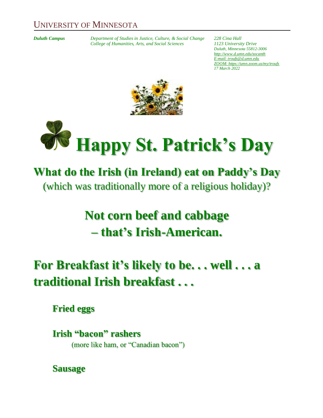#### UNIVERSITY OF MINNESOTA

*Duluth Campus Department of Studies in Justice, Culture, & Social Change 228 Cina Hall College of Humanities, Arts, and Social Sciences* 

*Duluth, Minnesota 55812-3006 <http://www.d.umn.edu/socanth> E-mail: [troufs@d.umn.edu](mailto:troufs@d.umn.edu) ZOOM[: https://umn.zoom.us/my/troufs](https://umn.zoom.us/my/troufs) 17 March 2022*





# **What do the Irish (in Ireland) eat on Paddy's Day**

(which was traditionally more of a religious holiday)?

# **Not corn beef and cabbage – that's Irish-American.**

# **For Breakfast it's likely to be. . . well . . . a traditional Irish breakfast . . .**

**Fried eggs**

**Irish "bacon" rashers** (more like ham, or "Canadian bacon")

**Sausage**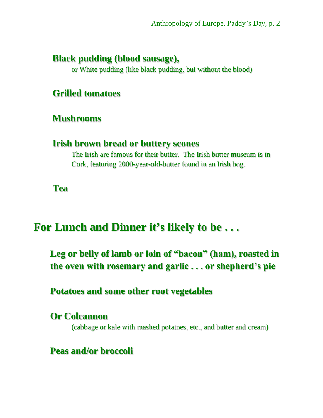### **Black pudding (blood sausage),**

or White pudding (like black pudding, but without the blood)

#### **Grilled tomatoes**

#### **Mushrooms**

#### **Irish brown bread or buttery scones**

The Irish are famous for their butter. The Irish butter museum is in Cork, featuring 2000-year-old-butter found in an Irish bog.

**Tea**

## **For Lunch and Dinner it's likely to be . . .**

**Leg or belly of lamb or loin of "bacon" (ham), roasted in the oven with rosemary and garlic . . . or shepherd's pie**

**Potatoes and some other root vegetables**

**Or Colcannon**  (cabbage or kale with mashed potatoes, etc., and butter and cream)

**Peas and/or broccoli**